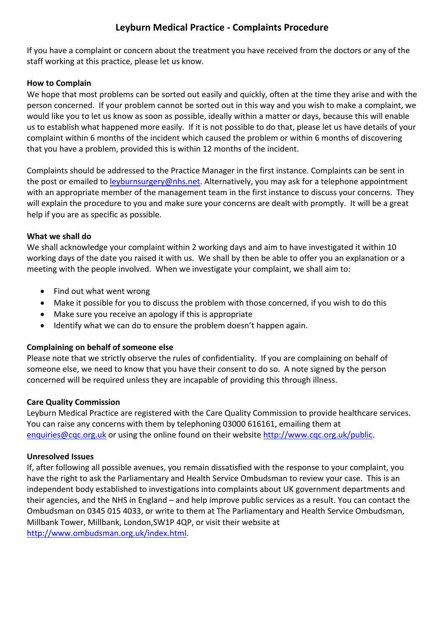# **Leyburn Medical Practice - Complaints Procedure**

If you have a complaint or concern about the treatment you have received from the doctors or any of the staff working at this practice, please let us know.

## **How to Complain**

We hope that most problems can be sorted out easily and quickly, often at the time they arise and with the person concerned. If your problem cannot be sorted out in this way and you wish to make a complaint, we would like you to let us know as soon as possible, ideally within a matter or days, because this will enable us to establish what happened more easily. If it is not possible to do that, please let us have details of your complaint within 6 months of the incident which caused the problem or within 6 months of discovering that you have a problem, provided this is within 12 months of the incident.

Complaints should be addressed to the Practice Manager in the first instance. Complaints can be sent in the post or emailed to leyburnsurgery@nhs.net. Alternatively, you may ask for a telephone appointment with an appropriate member of the management team in the first instance to discuss your concerns. They will explain the procedure to you and make sure your concerns are dealt with promptly. It will be a great help if you are as specific as possible.

### **What we shall do**

We shall acknowledge your complaint within 2 working days and aim to have investigated it within 10 working days of the date you raised it with us. We shall by then be able to offer you an explanation or a meeting with the people involved. When we investigate your complaint, we shall aim to:

- Find out what went wrong
- Make it possible for you to discuss the problem with those concerned, if you wish to do this
- Make sure you receive an apology if this is appropriate
- Identify what we can do to ensure the problem doesn't happen again.

# **Complaining on behalf of someone else**

Please note that we strictly observe the rules of confidentiality. If you are complaining on behalf of someone else, we need to know that you have their consent to do so. A note signed by the person concerned will be required unless they are incapable of providing this through illness.

# **Care Quality Commission**

Leyburn Medical Practice are registered with the Care Quality Commission to provide healthcare services. You can raise any concerns with them by telephoning 03000 616161, emailing them at enquiries@cqc.org.uk or using the online found on their website http://www.cqc.org.uk/public.

#### **Unresolved Issues**

If, after following all possible avenues, you remain dissatisfied with the response to your complaint, you have the right to ask the Parliamentary and Health Service Ombudsman to review your case. This is an independent body established to investigations into complaints about UK government departments and their agencies, and the NHS in England – and help improve public services as a result. You can contact the Ombudsman on 0345 015 4033, or write to them at The Parliamentary and Health Service Ombudsman, Millbank Tower, Millbank, London,SW1P 4QP, or visit their website at http://www.ombudsman.org.uk/index.html.